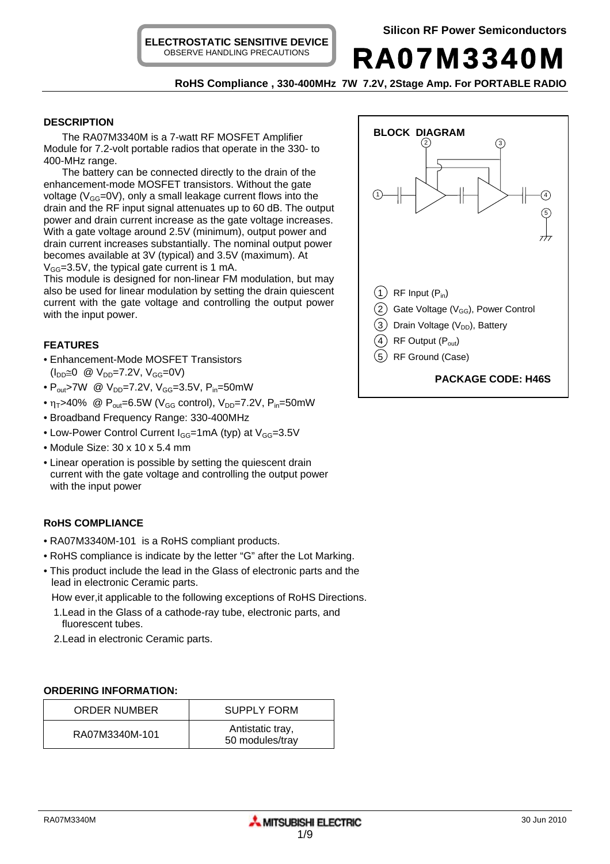**ELECTROSTATIC SENSITIVE DEVICE** OBSERVE HANDLING PRECAUTIONS

RA07M3340M

**RoHS Compliance , 330-400MHz 7W 7.2V, 2Stage Amp. For PORTABLE RADIO** 

## **DESCRIPTION**

The RA07M3340M is a 7-watt RF MOSFET Amplifier Module for 7.2-volt portable radios that operate in the 330- to 400-MHz range.

The battery can be connected directly to the drain of the enhancement-mode MOSFET transistors. Without the gate voltage ( $V_{GG}$ =0V), only a small leakage current flows into the drain and the RF input signal attenuates up to 60 dB. The output power and drain current increase as the gate voltage increases. With a gate voltage around 2.5V (minimum), output power and drain current increases substantially. The nominal output power becomes available at 3V (typical) and 3.5V (maximum). At  $V_{GG}$ =3.5V, the typical gate current is 1 mA.

This module is designed for non-linear FM modulation, but may also be used for linear modulation by setting the drain quiescent current with the gate voltage and controlling the output power with the input power.

# **FEATURES**

- Enhancement-Mode MOSFET Transistors  $(I_{DD} \cong 0 \text{ } \textcircled{1}$  V<sub>DD</sub>=7.2V, V<sub>GG</sub>=0V)
- $P_{out}$ >7W @  $V_{DD}$ =7.2V,  $V_{GG}$ =3.5V,  $P_{in}$ =50mW
- $\eta_T > 40\%$  @ P<sub>out</sub>=6.5W (V<sub>GG</sub> control), V<sub>DD</sub>=7.2V, P<sub>in</sub>=50mW
- Broadband Frequency Range: 330-400MHz
- Low-Power Control Current  $I_{GG}=1$ mA (typ) at  $V_{GG}=3.5$ V
- Module Size: 30 x 10 x 5.4 mm
- Linear operation is possible by setting the quiescent drain current with the gate voltage and controlling the output power with the input power

# **RoHS COMPLIANCE**

- RA07M3340M-101 is a RoHS compliant products.
- RoHS compliance is indicate by the letter "G" after the Lot Marking.
- This product include the lead in the Glass of electronic parts and the lead in electronic Ceramic parts.

How ever,it applicable to the following exceptions of RoHS Directions.

- 1.Lead in the Glass of a cathode-ray tube, electronic parts, and fluorescent tubes.
- 2.Lead in electronic Ceramic parts.

## **ORDERING INFORMATION:**

| <b>ORDER NUMBER</b> | <b>SUPPLY FORM</b>                  |
|---------------------|-------------------------------------|
| RA07M3340M-101      | Antistatic tray,<br>50 modules/tray |

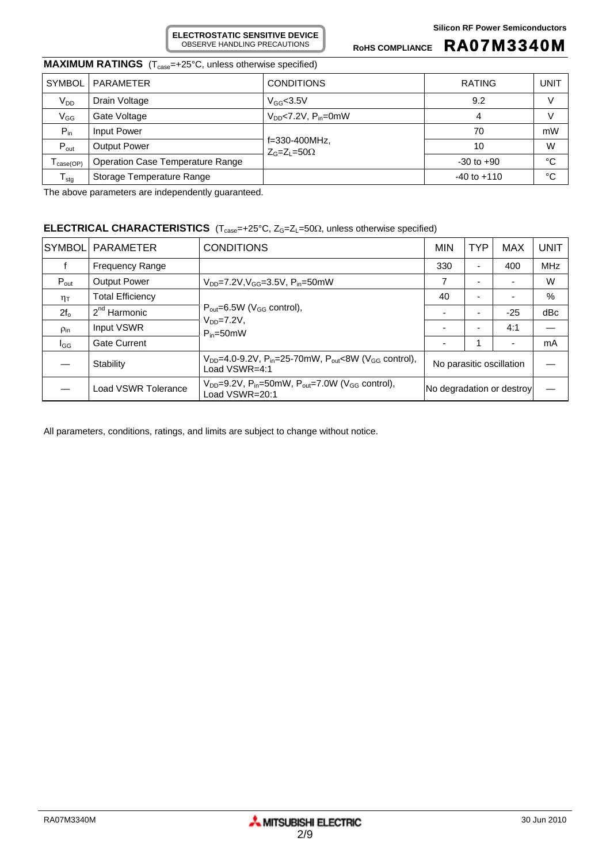ROHS COMPLIANCE **RA07M3340M** 

# **MAXIMUM RATINGS** (T<sub>case</sub>=+25°C, unless otherwise specified)

| <b>SYMBOL</b>                | PARAMETER                               | <b>CONDITIONS</b>                   | <b>RATING</b>   | UNIT |
|------------------------------|-----------------------------------------|-------------------------------------|-----------------|------|
| $V_{DD}$                     | Drain Voltage                           | $V_{GG}$ <3.5V                      | 9.2             | V    |
| $V_{GG}$                     | Gate Voltage                            | $V_{DD}$ <7.2V, $P_{in}$ =0mW       | 4               | V    |
| $P_{in}$                     | Input Power                             |                                     | 70              | mW   |
| $P_{\text{out}}$             | <b>Output Power</b>                     | f=330-400MHz,<br>$Z_G=Z_1=50\Omega$ | 10              | W    |
| $I_{\text{case}(\text{OP})}$ | <b>Operation Case Temperature Range</b> |                                     | $-30$ to $+90$  | °C   |
| I <sub>stg</sub>             | Storage Temperature Range               |                                     | $-40$ to $+110$ | °C   |

The above parameters are independently guaranteed.

#### **ELECTRICAL CHARACTERISTICS** (T<sub>case</sub>=+25°C, Z<sub>G</sub>=Z<sub>L</sub>=50Ω, unless otherwise specified)

**ELECTROSTATIC SENSITIVE DEVICE** OBSERVE HANDLING PRECAUTIONS

| SYMBOL              | <b>PARAMETER</b>        | <b>CONDITIONS</b>                                                                                                | <b>MIN</b>                | <b>TYP</b> | <b>MAX</b> | <b>UNIT</b> |
|---------------------|-------------------------|------------------------------------------------------------------------------------------------------------------|---------------------------|------------|------------|-------------|
|                     | <b>Frequency Range</b>  |                                                                                                                  | 330                       | -          | 400        | <b>MHz</b>  |
| $P_{\text{out}}$    | <b>Output Power</b>     | $V_{DD} = 7.2 V, V_{GG} = 3.5 V, P_{in} = 50 mW$                                                                 | 7                         |            |            | W           |
| $\eta_{\mathsf{T}}$ | <b>Total Efficiency</b> | $P_{\text{out}} = 6.5W$ (V <sub>GG</sub> control),<br>$V_{DD} = 7.2V$ ,<br>$P_{in} = 50$ mW                      | 40                        |            |            | $\%$        |
| $2f_{o}$            | $2nd$ Harmonic          |                                                                                                                  |                           |            | $-25$      | dBc         |
| $\rho_{\text{in}}$  | Input VSWR              |                                                                                                                  | $\overline{\phantom{a}}$  |            | 4:1        |             |
| l <sub>GG</sub>     | <b>Gate Current</b>     |                                                                                                                  |                           |            |            | mA          |
|                     | Stability               | $V_{DD}$ =4.0-9.2V, P <sub>in</sub> =25-70mW, P <sub>out</sub> <8W (V <sub>GG</sub> control),<br>Load $VSWR=4:1$ | No parasitic oscillation  |            |            |             |
|                     | Load VSWR Tolerance     | $V_{DD} = 9.2V$ , $P_{in} = 50$ mW, $P_{out} = 7.0W$ ( $V_{GG}$ control),<br>Load VSWR=20:1                      | No degradation or destroy |            |            |             |

All parameters, conditions, ratings, and limits are subject to change without notice.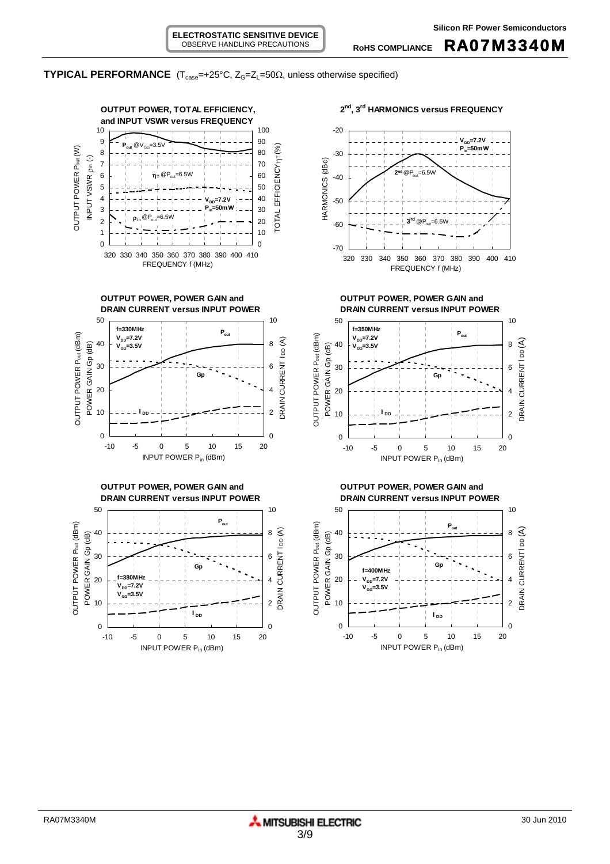## **TYPICAL PERFORMANCE** ( $T_{case} = +25^{\circ}C$ ,  $Z_G = Z_L = 50\Omega$ , unless otherwise specified)

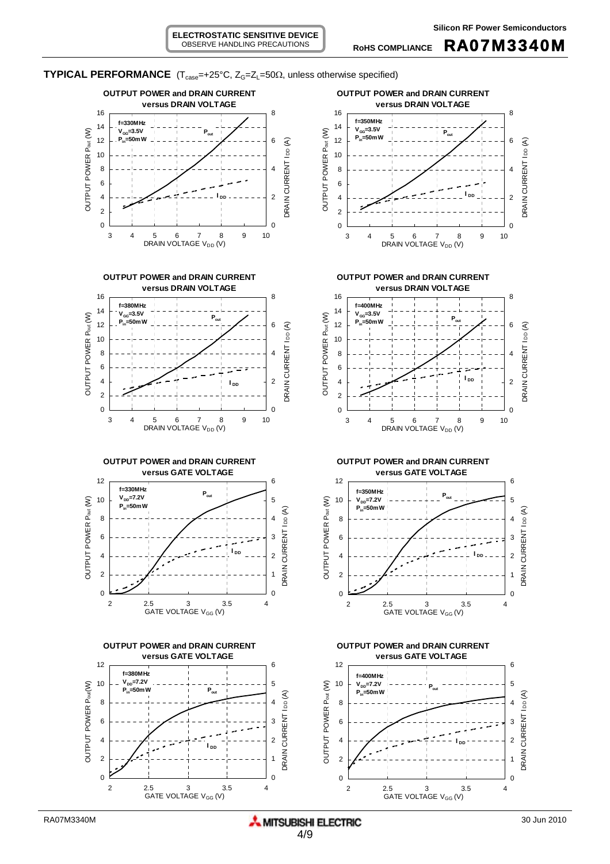**ELECTROSTATIC SENSITIVE DEVICE** OBSERVE HANDLING PRECAUTIONS



**TYPICAL PERFORMANCE** ( $T_{case} = +25^{\circ}C$ ,  $Z_G = Z_L = 50\Omega$ , unless otherwise specified)













0

2 2.5 3 3.5 4 GATE VOLTAGE V<sub>GG</sub> (V)

0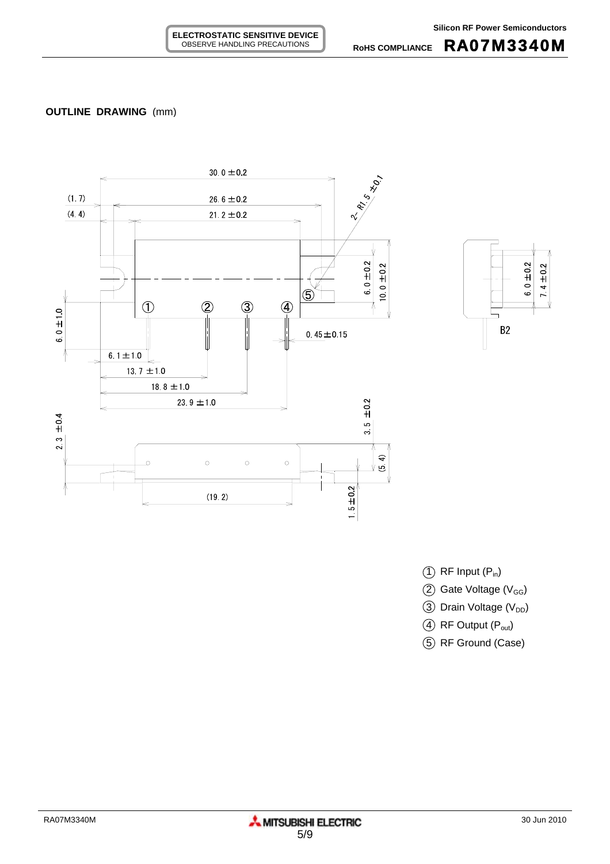**RoHS COMPLIANCE** RA07M3340M





- $(1)$  RF Input  $(P_{in})$
- $(2)$  Gate Voltage (V<sub>GG</sub>)
- 3 Drain Voltage (V<sub>DD</sub>)
- $(4)$  RF Output  $(P_{out})$
- 5 RF Ground (Case)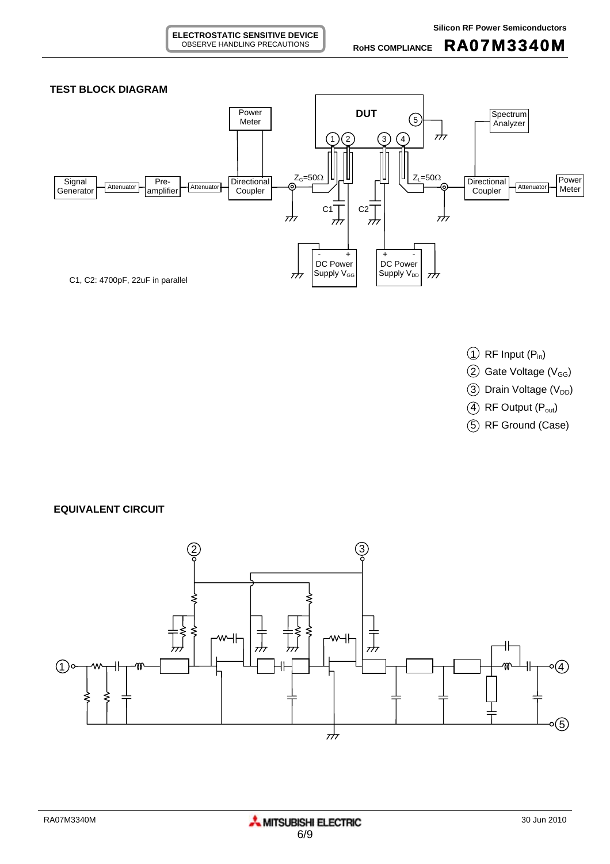

- $\textcircled{1}$  RF Input (P<sub>in</sub>)
- $(2)$  Gate Voltage (V<sub>GG</sub>)
- $(3)$  Drain Voltage (V<sub>DD</sub>)
- $(4)$  RF Output  $(P_{out})$
- 5 RF Ground (Case)

**EQUIVALENT CIRCUIT**

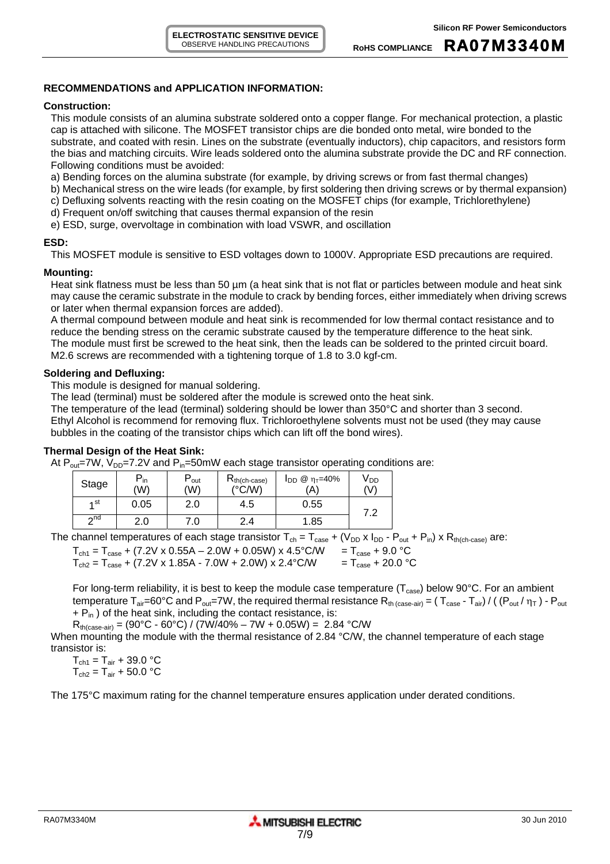**RoHS COMPLIANCE** RA07M3340M

### **RECOMMENDATIONS and APPLICATION INFORMATION:**

#### **Construction:**

This module consists of an alumina substrate soldered onto a copper flange. For mechanical protection, a plastic cap is attached with silicone. The MOSFET transistor chips are die bonded onto metal, wire bonded to the substrate, and coated with resin. Lines on the substrate (eventually inductors), chip capacitors, and resistors form the bias and matching circuits. Wire leads soldered onto the alumina substrate provide the DC and RF connection. Following conditions must be avoided:

a) Bending forces on the alumina substrate (for example, by driving screws or from fast thermal changes)

- b) Mechanical stress on the wire leads (for example, by first soldering then driving screws or by thermal expansion)
- c) Defluxing solvents reacting with the resin coating on the MOSFET chips (for example, Trichlorethylene)
- d) Frequent on/off switching that causes thermal expansion of the resin
- e) ESD, surge, overvoltage in combination with load VSWR, and oscillation

#### **ESD:**

This MOSFET module is sensitive to ESD voltages down to 1000V. Appropriate ESD precautions are required.

## **Mounting:**

Heat sink flatness must be less than 50  $\mu$ m (a heat sink that is not flat or particles between module and heat sink may cause the ceramic substrate in the module to crack by bending forces, either immediately when driving screws or later when thermal expansion forces are added).

A thermal compound between module and heat sink is recommended for low thermal contact resistance and to reduce the bending stress on the ceramic substrate caused by the temperature difference to the heat sink. The module must first be screwed to the heat sink, then the leads can be soldered to the printed circuit board. M2.6 screws are recommended with a tightening torque of 1.8 to 3.0 kgf-cm.

## **Soldering and Defluxing:**

This module is designed for manual soldering.

The lead (terminal) must be soldered after the module is screwed onto the heat sink.

The temperature of the lead (terminal) soldering should be lower than 350°C and shorter than 3 second. Ethyl Alcohol is recommend for removing flux. Trichloroethylene solvents must not be used (they may cause bubbles in the coating of the transistor chips which can lift off the bond wires).

## **Thermal Design of the Heat Sink:**

At  $P_{out}$ =7W, V<sub>DD</sub>=7.2V and  $P_{in}$ =50mW each stage transistor operating conditions are:

| Stage     | D<br>- in<br>'W) | out ّ<br>(W) | $R_{th(ch-case)}$<br>$(^{\circ}C/W)$ | $I_{DD}$ @ η <sub>τ</sub> =40%<br>'A` | V DD<br>(V) |
|-----------|------------------|--------------|--------------------------------------|---------------------------------------|-------------|
| ⊿ st      | 0.05             | 2.0          | 4.5                                  | 0.55                                  | ר ד         |
| $\sim$ nd | 2.0              |              | 2.4                                  | 1.85                                  | . <u>.</u>  |

The channel temperatures of each stage transistor  $T_{ch} = T_{case} + (V_{DD} \times I_{DD} - P_{out} + P_{in}) \times R_{th(ch-case)}$  are:

 $T_{ch1} = T_{case} + (7.2V \times 0.55A - 2.0W + 0.05W) \times 4.5^{\circ}$ C/W =  $T_{case} + 9.0^{\circ}$ C

 $T_{ch2} = T_{case} + (7.2V \times 1.85A - 7.0W + 2.0W) \times 2.4^{\circ} \text{C/W}$  =  $T_{case} + 20.0^{\circ} \text{C}$ 

For long-term reliability, it is best to keep the module case temperature ( $T_{case}$ ) below 90°C. For an ambient temperature  $T_{air}=60^{\circ}C$  and  $P_{out}=7W$ , the required thermal resistance  $R_{th \ (case-air)} = (T_{case} - T_{air}) / ((P_{out}/\eta_T) - P_{out}$  $+ P_{in}$ ) of the heat sink, including the contact resistance, is:

 $R_{th(case-air)} = (90^{\circ}C - 60^{\circ}C) / (7W/40\% - 7W + 0.05W) = 2.84 \degree C/W$ 

When mounting the module with the thermal resistance of 2.84 °C/W, the channel temperature of each stage transistor is:

 $T_{\text{ch1}} = T_{\text{air}} + 39.0$  °C  $T_{ch2} = T_{air} + 50.0 °C$ 

The 175°C maximum rating for the channel temperature ensures application under derated conditions.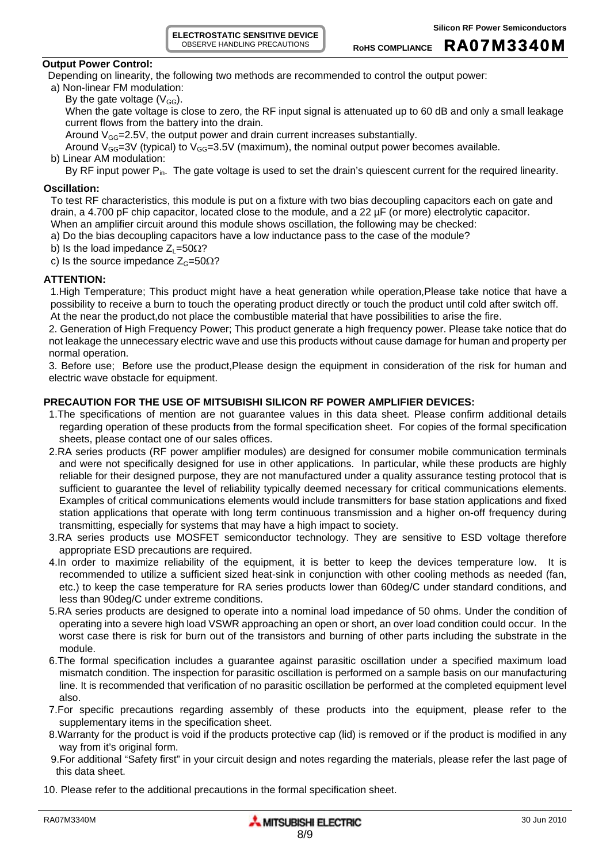**ELECTROSTATIC SENSITIVE DEVICE** OBSERVE HANDLING PRECAUTIONS

## **Output Power Control:**

Depending on linearity, the following two methods are recommended to control the output power:

a) Non-linear FM modulation: By the gate voltage  $(V_{GG})$ .

When the gate voltage is close to zero, the RF input signal is attenuated up to 60 dB and only a small leakage current flows from the battery into the drain.

Around  $V_{GG} = 2.5V$ , the output power and drain current increases substantially.

Around  $V_{GG}=3V$  (typical) to  $V_{GG}=3.5V$  (maximum), the nominal output power becomes available.

b) Linear AM modulation:

By RF input power P<sub>in</sub>. The gate voltage is used to set the drain's quiescent current for the required linearity.

# **Oscillation:**

To test RF characteristics, this module is put on a fixture with two bias decoupling capacitors each on gate and drain, a 4.700 pF chip capacitor, located close to the module, and a 22 µF (or more) electrolytic capacitor. When an amplifier circuit around this module shows oscillation, the following may be checked:

- a) Do the bias decoupling capacitors have a low inductance pass to the case of the module?
- b) Is the load impedance  $Z_L$ =50 $\Omega$ ?
- c) Is the source impedance  $Z_G$ =50 $\Omega$ ?

# **ATTENTION:**

1.High Temperature; This product might have a heat generation while operation,Please take notice that have a possibility to receive a burn to touch the operating product directly or touch the product until cold after switch off. At the near the product,do not place the combustible material that have possibilities to arise the fire.

2. Generation of High Frequency Power; This product generate a high frequency power. Please take notice that do not leakage the unnecessary electric wave and use this products without cause damage for human and property per normal operation.

3. Before use; Before use the product,Please design the equipment in consideration of the risk for human and electric wave obstacle for equipment.

## **PRECAUTION FOR THE USE OF MITSUBISHI SILICON RF POWER AMPLIFIER DEVICES:**

- 1.The specifications of mention are not guarantee values in this data sheet. Please confirm additional details regarding operation of these products from the formal specification sheet. For copies of the formal specification sheets, please contact one of our sales offices.
- 2.RA series products (RF power amplifier modules) are designed for consumer mobile communication terminals and were not specifically designed for use in other applications. In particular, while these products are highly reliable for their designed purpose, they are not manufactured under a quality assurance testing protocol that is sufficient to guarantee the level of reliability typically deemed necessary for critical communications elements. Examples of critical communications elements would include transmitters for base station applications and fixed station applications that operate with long term continuous transmission and a higher on-off frequency during transmitting, especially for systems that may have a high impact to society.
- 3.RA series products use MOSFET semiconductor technology. They are sensitive to ESD voltage therefore appropriate ESD precautions are required.
- 4.In order to maximize reliability of the equipment, it is better to keep the devices temperature low. It is recommended to utilize a sufficient sized heat-sink in conjunction with other cooling methods as needed (fan, etc.) to keep the case temperature for RA series products lower than 60deg/C under standard conditions, and less than 90deg/C under extreme conditions.
- 5.RA series products are designed to operate into a nominal load impedance of 50 ohms. Under the condition of operating into a severe high load VSWR approaching an open or short, an over load condition could occur. In the worst case there is risk for burn out of the transistors and burning of other parts including the substrate in the module.
- 6.The formal specification includes a guarantee against parasitic oscillation under a specified maximum load mismatch condition. The inspection for parasitic oscillation is performed on a sample basis on our manufacturing line. It is recommended that verification of no parasitic oscillation be performed at the completed equipment level also.
- 7.For specific precautions regarding assembly of these products into the equipment, please refer to the supplementary items in the specification sheet.
- 8.Warranty for the product is void if the products protective cap (lid) is removed or if the product is modified in any way from it's original form.
- 9.For additional "Safety first" in your circuit design and notes regarding the materials, please refer the last page of this data sheet.
- 10. Please refer to the additional precautions in the formal specification sheet.